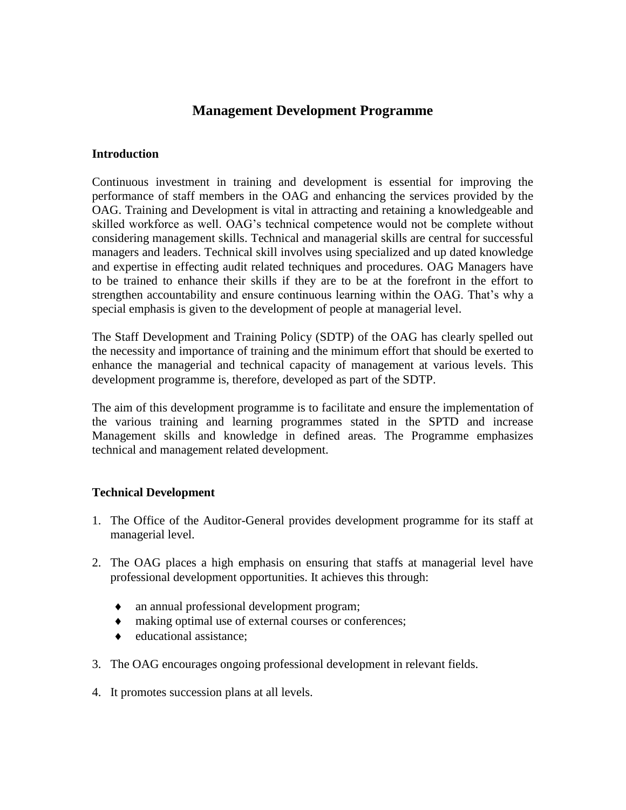## **Management Development Programme**

## **Introduction**

Continuous investment in training and development is essential for improving the performance of staff members in the OAG and enhancing the services provided by the OAG. Training and Development is vital in attracting and retaining a knowledgeable and skilled workforce as well. OAG's technical competence would not be complete without considering management skills. Technical and managerial skills are central for successful managers and leaders. Technical skill involves using specialized and up dated knowledge and expertise in effecting audit related techniques and procedures. OAG Managers have to be trained to enhance their skills if they are to be at the forefront in the effort to strengthen accountability and ensure continuous learning within the OAG. That's why a special emphasis is given to the development of people at managerial level.

The Staff Development and Training Policy (SDTP) of the OAG has clearly spelled out the necessity and importance of training and the minimum effort that should be exerted to enhance the managerial and technical capacity of management at various levels. This development programme is, therefore, developed as part of the SDTP.

The aim of this development programme is to facilitate and ensure the implementation of the various training and learning programmes stated in the SPTD and increase Management skills and knowledge in defined areas. The Programme emphasizes technical and management related development.

## **Technical Development**

- 1. The Office of the Auditor-General provides development programme for its staff at managerial level.
- 2. The OAG places a high emphasis on ensuring that staffs at managerial level have professional development opportunities. It achieves this through:
	- an annual professional development program;
	- making optimal use of external courses or conferences;
	- educational assistance;
- 3. The OAG encourages ongoing professional development in relevant fields.
- 4. It promotes succession plans at all levels.